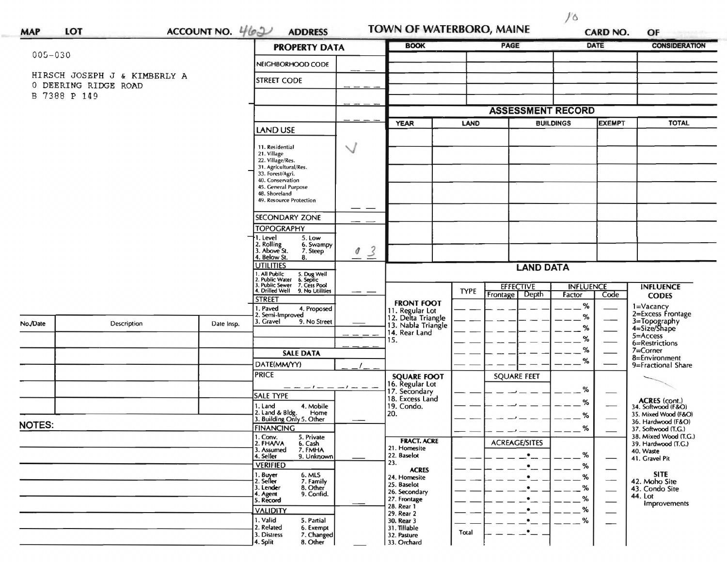| <b>MAP</b>  | LOT                                                  | ACCOUNT NO. $462$     | <b>ADDRESS</b>                                                                                                                                                                         |                     | TOWN OF WATERBORO, MAINE                                                                                 |             |                                   |                              | <b>CARD NO.</b>          | OF                                                                                         |
|-------------|------------------------------------------------------|-----------------------|----------------------------------------------------------------------------------------------------------------------------------------------------------------------------------------|---------------------|----------------------------------------------------------------------------------------------------------|-------------|-----------------------------------|------------------------------|--------------------------|--------------------------------------------------------------------------------------------|
|             |                                                      |                       | <b>PROPERTY DATA</b>                                                                                                                                                                   |                     | <b>BOOK</b>                                                                                              |             |                                   | DATE<br><b>CONSIDERATION</b> |                          |                                                                                            |
| $005 - 030$ |                                                      |                       | NEIGHBORHOOD CODE                                                                                                                                                                      |                     |                                                                                                          |             |                                   |                              |                          |                                                                                            |
|             | HIRSCH JOSEPH J & KIMBERLY A<br>0 DEERING RIDGE ROAD |                       | <b>STREET CODE</b>                                                                                                                                                                     |                     |                                                                                                          |             |                                   |                              |                          |                                                                                            |
|             | B 7388 P 149                                         |                       |                                                                                                                                                                                        |                     |                                                                                                          |             |                                   |                              |                          |                                                                                            |
|             |                                                      |                       |                                                                                                                                                                                        |                     | <b>ASSESSMENT RECORD</b>                                                                                 |             |                                   |                              |                          |                                                                                            |
|             |                                                      |                       |                                                                                                                                                                                        | <b>YEAR</b><br>LAND |                                                                                                          |             | <b>BUILDINGS</b>                  |                              | <b>TOTAL</b>             |                                                                                            |
|             |                                                      |                       | <b>LAND USE</b>                                                                                                                                                                        |                     |                                                                                                          |             |                                   |                              |                          |                                                                                            |
|             |                                                      |                       | 11. Residential<br>21. Village<br>22. Village/Res.<br>31. Agricultural/Res.<br>33. Forest/Agri.<br>40. Conservation<br>45. General Purpose<br>48. Shoreland<br>49. Resource Protection | $\checkmark$        |                                                                                                          |             |                                   |                              |                          |                                                                                            |
|             |                                                      | <b>SECONDARY ZONE</b> |                                                                                                                                                                                        |                     |                                                                                                          |             |                                   |                              |                          |                                                                                            |
|             |                                                      |                       | <b>TOPOGRAPHY</b>                                                                                                                                                                      |                     |                                                                                                          |             |                                   |                              |                          |                                                                                            |
|             |                                                      |                       | I. Level<br>5. Low<br>2. Rolling<br>3. Above St.<br>6. Swampy<br>7. Steep<br>. Below St.<br>8.                                                                                         | $\overline{3}$<br>O |                                                                                                          |             |                                   |                              |                          |                                                                                            |
|             |                                                      |                       | <b>UTILITIES</b><br>1. All Public 5. Dug Well<br>2. Public Water 6. Septic<br>3. Public Sewer 7. Cess Pool<br>4. Drilled Well 9. No Utilities                                          |                     | <b>LAND DATA</b>                                                                                         |             |                                   |                              |                          |                                                                                            |
|             |                                                      |                       |                                                                                                                                                                                        |                     |                                                                                                          | <b>TYPE</b> | <b>EFFECTIVE</b>                  | <b>INFLUENCE</b>             |                          | <b>INFLUENCE</b>                                                                           |
|             |                                                      |                       | <b>STREET</b><br>. Paved<br>4. Proposed<br>2. Semi-Improved                                                                                                                            | $\cdots$            | <b>FRONT FOOT</b><br>11. Regular Lot<br>12. Delta Triangle<br>13. Nabla Triangle<br>14. Rear Land<br>15. |             | Depth<br>Frontage                 | Factor<br>$\%$<br>%          | Code                     | <b>CODES</b><br>1=Vacancy<br>2=Excess Frontage                                             |
| No./Date    | Description                                          | Date Insp.            | 3. Gravel<br>9. No Street                                                                                                                                                              |                     |                                                                                                          |             |                                   | $\%$                         |                          | 3=Topography<br>4=Size/Shape<br>5=Access                                                   |
|             |                                                      |                       |                                                                                                                                                                                        |                     |                                                                                                          |             |                                   | %<br>%                       |                          | 6=Restrictions<br>7=Corner                                                                 |
|             |                                                      |                       | <b>SALE DATA</b><br>DATE(MM/YY)                                                                                                                                                        |                     |                                                                                                          |             |                                   | %                            |                          | 8=Environment<br>9=Fractional Share                                                        |
|             |                                                      |                       | <b>PRICE</b>                                                                                                                                                                           |                     | <b>SQUARE FOOT</b>                                                                                       |             | <b>SQUARE FEET</b>                |                              |                          |                                                                                            |
|             |                                                      |                       | _ _ _ _ _ _ _ _ _<br><b>SALE TYPE</b>                                                                                                                                                  |                     | 16. Regular Lot<br>17. Secondary                                                                         |             |                                   | $\%$                         |                          |                                                                                            |
|             |                                                      |                       | 1. Land<br>4. Mobile                                                                                                                                                                   |                     | 18. Excess Land<br>19. Condo.                                                                            |             |                                   | $\%$                         |                          | ACRES (cont.)<br>34. Softwood (F&O)                                                        |
| NOTES:      |                                                      |                       | 2. Land & Bldg. Home<br>3. Building Only 5. Other<br>Home                                                                                                                              |                     | 20.<br><b>FRACT. ACRE</b>                                                                                |             |                                   | %                            |                          | 35. Mixed Wood (F&O)<br>36. Hardwood (F&O)<br>37. Softwood (T.G.)<br>38. Mixed Wood (T.G.) |
|             |                                                      |                       | <b>FINANCING</b><br>5. Private<br>1. Conv.<br>2. FHA/VA                                                                                                                                |                     |                                                                                                          |             |                                   | %                            |                          |                                                                                            |
|             |                                                      |                       | 6. Cash<br>3. Assumed<br>7. FMHA<br>4. Seller<br>9. Unknown                                                                                                                            |                     | 21. Homesite<br>22. Baselot                                                                              |             | <b>ACREAGE/SITES</b><br>$\bullet$ | %                            |                          | 39. Hardwood (T.G.)<br>40. Waste<br>41. Gravel Pit                                         |
|             |                                                      |                       | <b>VERIFIED</b>                                                                                                                                                                        |                     | 23.<br><b>ACRES</b>                                                                                      |             | $\bullet$                         | %                            |                          |                                                                                            |
|             |                                                      |                       | 1. Buyer<br>6. MLS<br>2. Seller<br>7. Family<br>3. Lender<br>8. Other<br>4. Agent<br>9. Confid.                                                                                        |                     | 24. Homesite<br>25. Baselot<br>26. Secondary<br>27. Frontage                                             |             | ٠<br>$\bullet$<br>$\bullet$       | %<br>%<br>%                  |                          | <b>SITE</b><br>42. Moho Site<br>43. Condo Site<br>44. Lot                                  |
|             |                                                      |                       | 5. Record<br><b>VALIDITY</b>                                                                                                                                                           |                     | 28. Rear 1<br>29. Rear 2                                                                                 |             | $\bullet$                         | %                            | $\overline{\phantom{0}}$ | Improvements                                                                               |
|             |                                                      |                       | 1. Valid<br>5. Partial<br>2. Related<br>6. Exempt<br>3. Distress<br>7. Changed<br>4. Split<br>8. Other                                                                                 |                     | 30. Rear 3<br>31. Tillable<br>32. Pasture<br>33. Orchard                                                 | Total       | $\bullet$<br>$\bullet$            | %                            |                          |                                                                                            |

 $10$